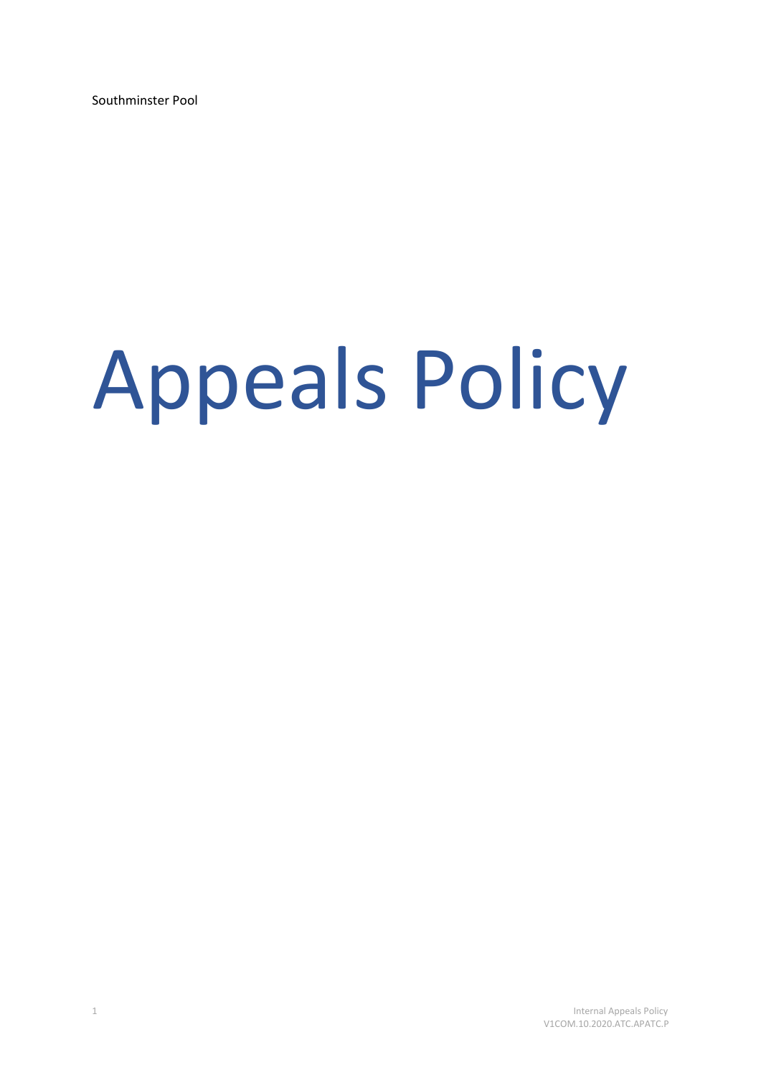Southminster Pool

# Appeals Policy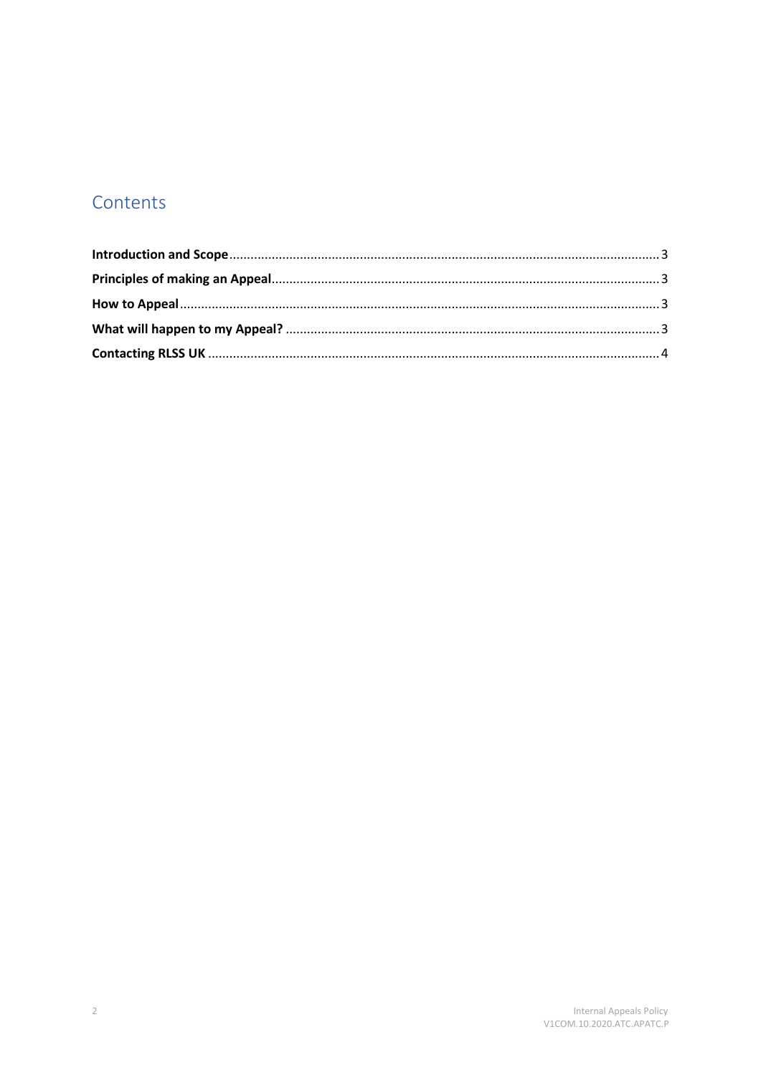# Contents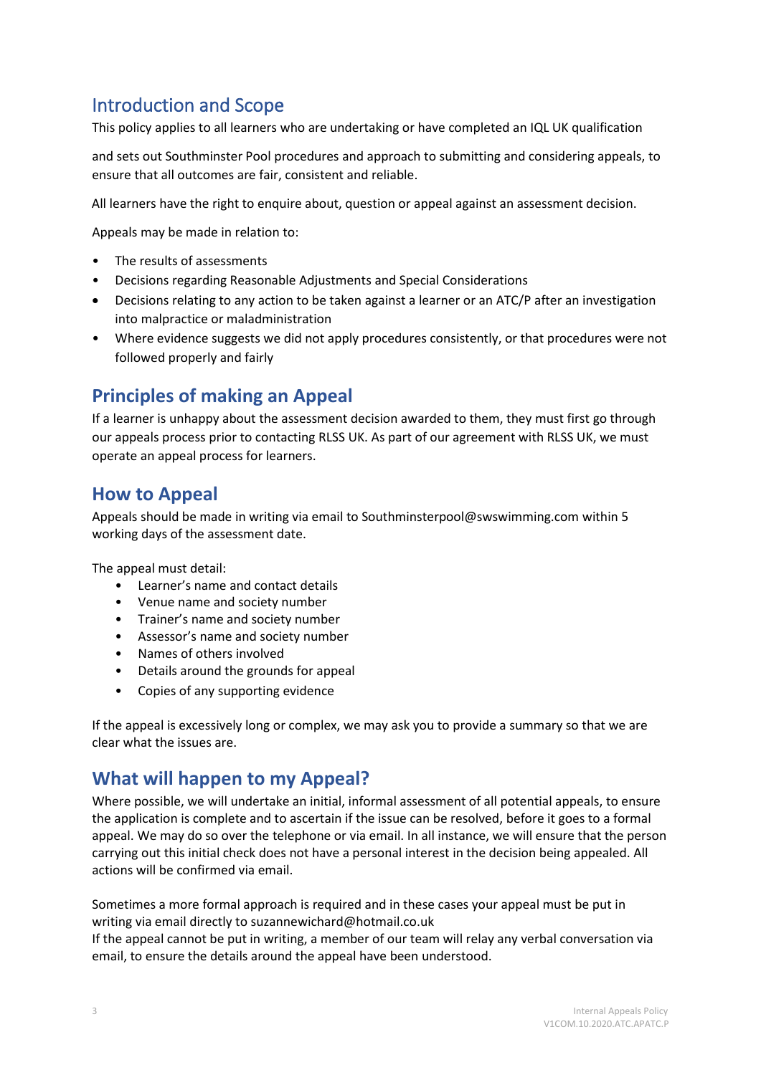# <span id="page-2-0"></span>Introduction and Scope

This policy applies to all learners who are undertaking or have completed an IQL UK qualification

and sets out Southminster Pool procedures and approach to submitting and considering appeals, to ensure that all outcomes are fair, consistent and reliable.

All learners have the right to enquire about, question or appeal against an assessment decision.

Appeals may be made in relation to:

- The results of assessments
- Decisions regarding Reasonable Adjustments and Special Considerations
- Decisions relating to any action to be taken against a learner or an ATC/P after an investigation into malpractice or maladministration
- Where evidence suggests we did not apply procedures consistently, or that procedures were not followed properly and fairly

# <span id="page-2-1"></span>**Principles of making an Appeal**

If a learner is unhappy about the assessment decision awarded to them, they must first go through our appeals process prior to contacting RLSS UK. As part of our agreement with RLSS UK, we must operate an appeal process for learners.

## <span id="page-2-2"></span>**How to Appeal**

Appeals should be made in writing via email to Southminsterpool@swswimming.com within 5 working days of the assessment date.

The appeal must detail:

- Learner's name and contact details
- Venue name and society number
- Trainer's name and society number
- Assessor's name and society number
- Names of others involved
- Details around the grounds for appeal
- Copies of any supporting evidence

If the appeal is excessively long or complex, we may ask you to provide a summary so that we are clear what the issues are.

## <span id="page-2-3"></span>**What will happen to my Appeal?**

Where possible, we will undertake an initial, informal assessment of all potential appeals, to ensure the application is complete and to ascertain if the issue can be resolved, before it goes to a formal appeal. We may do so over the telephone or via email. In all instance, we will ensure that the person carrying out this initial check does not have a personal interest in the decision being appealed. All actions will be confirmed via email.

Sometimes a more formal approach is required and in these cases your appeal must be put in writing via email directly to suzannewichard@hotmail.co.uk

If the appeal cannot be put in writing, a member of our team will relay any verbal conversation via email, to ensure the details around the appeal have been understood.